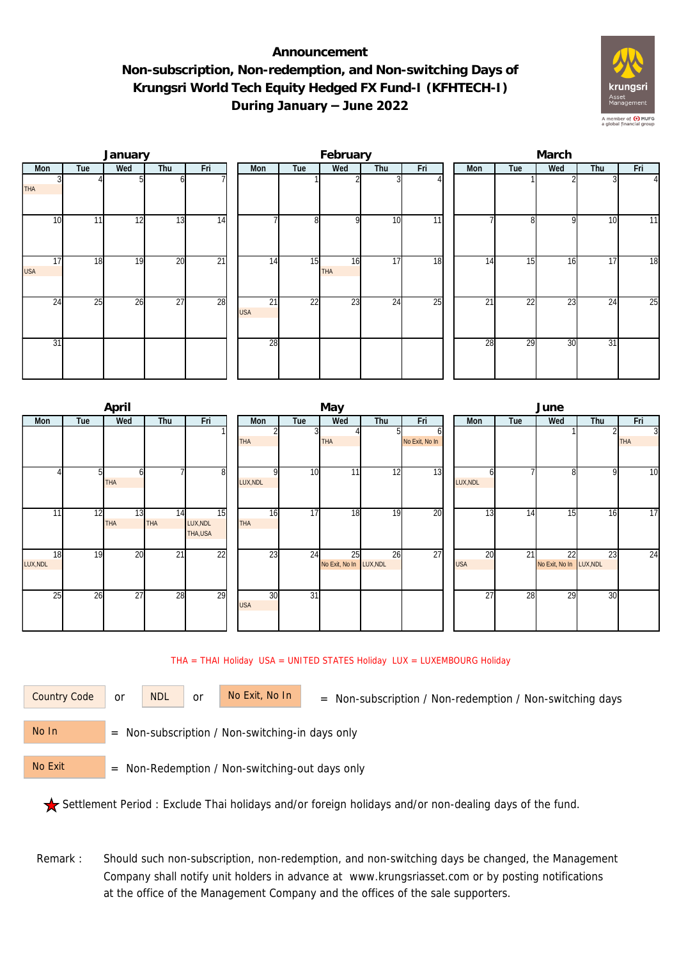## **Announcement Non-subscription, Non-redemption, and Non-switching Days of Krungsri World Tech Equity Hedged FX Fund-I (KFHTECH-I) During January – June 2022**



|                  |     | January |                 |                 |  |                  | February        |           |                 | March           |     |                 |     |     |                |  |
|------------------|-----|---------|-----------------|-----------------|--|------------------|-----------------|-----------|-----------------|-----------------|-----|-----------------|-----|-----|----------------|--|
| Mon              | Tue | Wed     | Thu             | Fri             |  | Mon              | Tue             | Wed       | Thu             | Fri             | Mon | Tue             | Wed | Thu | Fri            |  |
| <b>THA</b>       |     |         | ωI              |                 |  |                  |                 |           |                 |                 |     |                 |     |     | $\overline{4}$ |  |
| 10               | 11  | 12      | 13              | 14              |  |                  | 8               | οI        | 10              | $\overline{11}$ |     | 81              | 9   | 10  | 11             |  |
| 17<br><b>USA</b> | 18  | 19      | 20              | $\overline{21}$ |  | 14               | 15              | 16<br>THA | 17              | 18              | 14  | 15              | 16  | 17  | 18             |  |
| $2\overline{4}$  | 25  | 26      | $\overline{27}$ | 28              |  | 21<br><b>USA</b> | $\overline{22}$ | 23        | $2\overline{4}$ | $\overline{25}$ | 21  | $2\overline{2}$ | 23  | 24  | 25             |  |
| 31               |     |         |                 |                 |  | 28               |                 |           |                 |                 | 28  | 29              | 30  | 31  |                |  |

|          |     | April      |                 |          |            |                 | May                     |     |                | June       |     |                         |     |                |  |  |
|----------|-----|------------|-----------------|----------|------------|-----------------|-------------------------|-----|----------------|------------|-----|-------------------------|-----|----------------|--|--|
| Mon      | Tue | Wed        | Thu             | Fri      | Mon        | Tue             | Wed                     | Thu | Fri            | <b>Mon</b> | Tue | Wed                     | Thu | Fri            |  |  |
|          |     |            |                 |          |            |                 |                         |     | o              |            |     |                         |     | $\overline{3}$ |  |  |
|          |     |            |                 |          | <b>THA</b> |                 | THA                     |     | No Exit, No In |            |     |                         |     | <b>THA</b>     |  |  |
|          |     |            |                 |          |            |                 |                         |     |                |            |     |                         |     |                |  |  |
|          |     |            |                 | $8 \,$   | ΩI         | 10              | 11                      | 12  | 13             |            |     | 8                       | 9   | 10             |  |  |
|          |     | <b>THA</b> |                 |          | LUX, NDL   |                 |                         |     |                | LUX, NDL   |     |                         |     |                |  |  |
|          |     |            |                 |          |            |                 |                         |     |                |            |     |                         |     |                |  |  |
| 11       | 12  | 13         | 14              | 15       | 16         | 17              | 18                      | 19  | 20             | 13         | 14  | $1\overline{5}$         | 16  | 17             |  |  |
|          |     | <b>THA</b> | <b>THA</b>      | LUX, NDL | <b>THA</b> |                 |                         |     |                |            |     |                         |     |                |  |  |
|          |     |            |                 | THA, USA |            |                 |                         |     |                |            |     |                         |     |                |  |  |
| 18       | 19  | 20         | $\overline{21}$ | 22       | 23         | 24              | 25                      | 26  | 27             | 20         | 21  | 22                      | 23  | 24             |  |  |
| LUX, NDL |     |            |                 |          |            |                 | No Exit, No In LUX, NDL |     |                | <b>USA</b> |     | No Exit, No In LUX, NDL |     |                |  |  |
|          |     |            |                 |          |            |                 |                         |     |                |            |     |                         |     |                |  |  |
| 25       | 26  | 27         | 28              | 29       | 30         | $\overline{31}$ |                         |     |                | 27         | 28  | 29                      | 30  |                |  |  |
|          |     |            |                 |          | <b>USA</b> |                 |                         |     |                |            |     |                         |     |                |  |  |
|          |     |            |                 |          |            |                 |                         |     |                |            |     |                         |     |                |  |  |
|          |     |            |                 |          |            |                 |                         |     |                |            |     |                         |     |                |  |  |

## THA = THAI Holiday USA = UNITED STATES Holiday LUX = LUXEMBOURG Holiday

or NDL or

Country Code or NDL or No Exit, No In = Non-subscription / Non-redemption / Non-switching days

 = Non-subscription / Non-switching-in days only No In

 = Non-Redemption / Non-switching-out days only No Exit

Settlement Period : Exclude Thai holidays and/or foreign holidays and/or non-dealing days of the fund.

Remark : Should such non-subscription, non-redemption, and non-switching days be changed, the Management Company shall notify unit holders in advance at www.krungsriasset.com or by posting notifications at the office of the Management Company and the offices of the sale supporters.